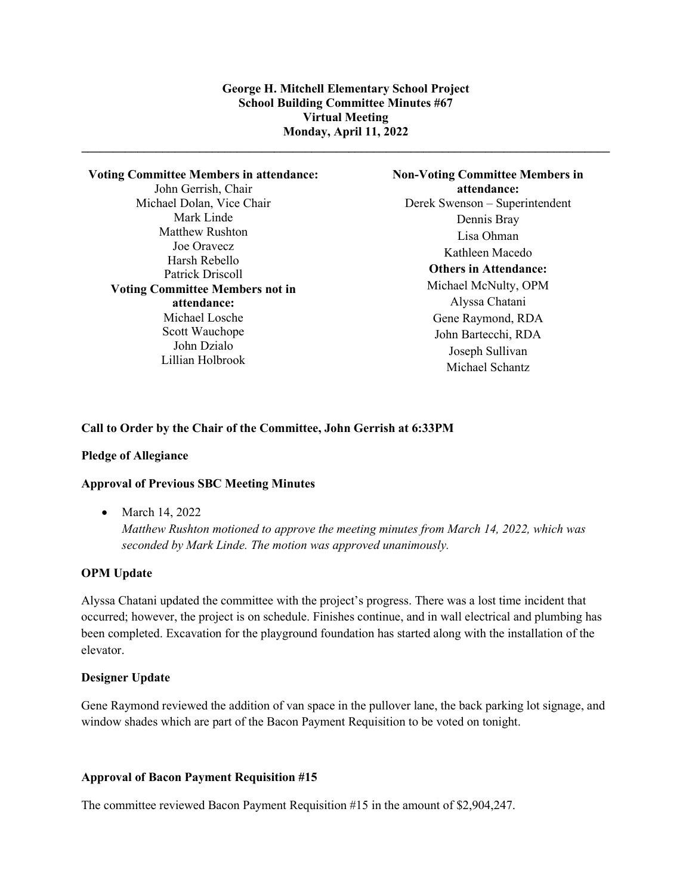**\_\_\_\_\_\_\_\_\_\_\_\_\_\_\_\_\_\_\_\_\_\_\_\_\_\_\_\_\_\_\_\_\_\_\_\_\_\_\_\_\_\_\_\_\_\_\_\_\_\_\_\_\_\_\_\_\_\_\_\_\_\_\_\_\_\_\_\_\_\_\_\_\_\_\_\_\_\_\_\_\_\_\_\_\_**

**Voting Committee Members in attendance:** John Gerrish, Chair Michael Dolan, Vice Chair Mark Linde Matthew Rushton Joe Oravecz Harsh Rebello Patrick Driscoll **Voting Committee Members not in attendance:** Michael Losche Scott Wauchope John Dzialo Lillian Holbrook

**Non-Voting Committee Members in attendance:** Derek Swenson – Superintendent Dennis Bray Lisa Ohman Kathleen Macedo **Others in Attendance:** Michael McNulty, OPM Alyssa Chatani Gene Raymond, RDA John Bartecchi, RDA Joseph Sullivan Michael Schantz

# **Call to Order by the Chair of the Committee, John Gerrish at 6:33PM**

#### **Pledge of Allegiance**

#### **Approval of Previous SBC Meeting Minutes**

• March 14, 2022

*Matthew Rushton motioned to approve the meeting minutes from March 14, 2022, which was seconded by Mark Linde. The motion was approved unanimously.*

#### **OPM Update**

Alyssa Chatani updated the committee with the project's progress. There was a lost time incident that occurred; however, the project is on schedule. Finishes continue, and in wall electrical and plumbing has been completed. Excavation for the playground foundation has started along with the installation of the elevator.

### **Designer Update**

Gene Raymond reviewed the addition of van space in the pullover lane, the back parking lot signage, and window shades which are part of the Bacon Payment Requisition to be voted on tonight.

### **Approval of Bacon Payment Requisition #15**

The committee reviewed Bacon Payment Requisition #15 in the amount of \$2,904,247.